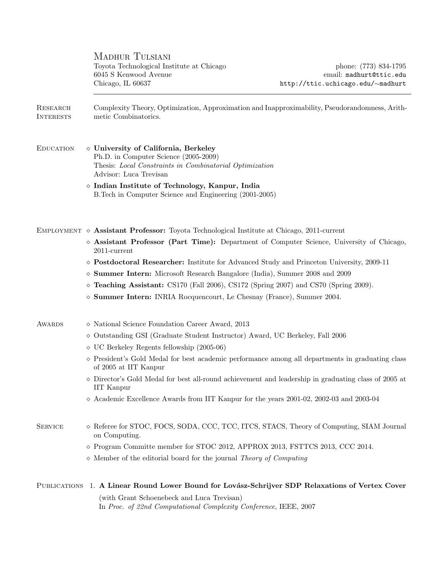MADHUR TULSIANI Toyota Technological Institute at Chicago phone: (773) 834-1795 6045 S Kenwood Avenue email: madhurt@ttic.edu Chicago, IL 60637 http://ttic.uchicago.edu/∼madhurt

Research Complexity Theory, Optimization, Approximation and Inapproximability, Pseudorandomness, Arith-INTERESTS metic Combinatorics. EDUCATION  $\Diamond$  University of California, Berkeley Ph.D. in Computer Science (2005-2009) Thesis: Local Constraints in Combinatorial Optimization Advisor: Luca Trevisan  $\diamond$  Indian Institute of Technology, Kanpur, India B.Tech in Computer Science and Engineering (2001-2005) EMPLOYMENT  $\diamond$  Assistant Professor: Toyota Technological Institute at Chicago, 2011-current  $\Diamond$  Assistant Professor (Part Time): Department of Computer Science, University of Chicago, 2011-current Postdoctoral Researcher: Institute for Advanced Study and Princeton University, 2009-11 Summer Intern: Microsoft Research Bangalore (India), Summer 2008 and 2009  $\circ$  Teaching Assistant: CS170 (Fall 2006), CS172 (Spring 2007) and CS70 (Spring 2009).  $\diamond$  Summer Intern: INRIA Rocquencourt, Le Chesnay (France), Summer 2004. AWARDS  $\Diamond$  National Science Foundation Career Award, 2013  $\Diamond$  Outstanding GSI (Graduate Student Instructor) Award, UC Berkeley, Fall 2006  $\Diamond$  UC Berkeley Regents fellowship (2005-06)  $\Diamond$  President's Gold Medal for best academic performance among all departments in graduating class of 2005 at IIT Kanpur  $\Diamond$  Director's Gold Medal for best all-round achievement and leadership in graduating class of 2005 at IIT Kanpur  $\Diamond$  Academic Excellence Awards from IIT Kanpur for the years 2001-02, 2002-03 and 2003-04 SERVICE  $\Diamond$  Referee for STOC, FOCS, SODA, CCC, TCC, ITCS, STACS, Theory of Computing, SIAM Journal on Computing.  $\Diamond$  Program Committe member for STOC 2012, APPROX 2013, FSTTCS 2013, CCC 2014.  $\Diamond$  Member of the editorial board for the journal Theory of Computing PUBLICATIONS 1. A Linear Round Lower Bound for Lovász-Schrijver SDP Relaxations of Vertex Cover (with Grant Schoenebeck and Luca Trevisan) In Proc. of 22nd Computational Complexity Conference, IEEE, 2007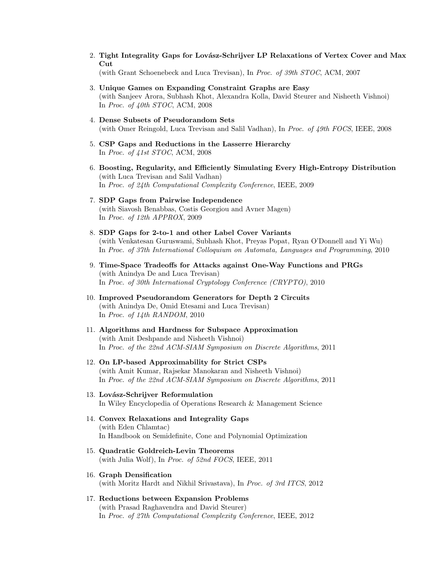2. Tight Integrality Gaps for Lovász-Schrijver LP Relaxations of Vertex Cover and Max C<sub>ut</sub>

(with Grant Schoenebeck and Luca Trevisan), In Proc. of 39th STOC, ACM, 2007

- 3. Unique Games on Expanding Constraint Graphs are Easy (with Sanjeev Arora, Subhash Khot, Alexandra Kolla, David Steurer and Nisheeth Vishnoi) In Proc. of 40th STOC, ACM, 2008
- 4. Dense Subsets of Pseudorandom Sets (with Omer Reingold, Luca Trevisan and Salil Vadhan), In Proc. of 49th FOCS, IEEE, 2008
- 5. CSP Gaps and Reductions in the Lasserre Hierarchy In Proc. of 41st STOC, ACM, 2008
- 6. Boosting, Regularity, and Efficiently Simulating Every High-Entropy Distribution (with Luca Trevisan and Salil Vadhan) In Proc. of 24th Computational Complexity Conference, IEEE, 2009
- 7. SDP Gaps from Pairwise Independence (with Siavosh Benabbas, Costis Georgiou and Avner Magen) In Proc. of 12th APPROX, 2009
- 8. SDP Gaps for 2-to-1 and other Label Cover Variants (with Venkatesan Guruswami, Subhash Khot, Preyas Popat, Ryan O'Donnell and Yi Wu) In Proc. of 37th International Colloquium on Automata, Languages and Programming, 2010
- 9. Time-Space Tradeoffs for Attacks against One-Way Functions and PRGs (with Anindya De and Luca Trevisan) In Proc. of 30th International Cryptology Conference (CRYPTO), 2010
- 10. Improved Pseudorandom Generators for Depth 2 Circuits (with Anindya De, Omid Etesami and Luca Trevisan) In Proc. of 14th RANDOM, 2010
- 11. Algorithms and Hardness for Subspace Approximation (with Amit Deshpande and Nisheeth Vishnoi) In Proc. of the 22nd ACM-SIAM Symposium on Discrete Algorithms, 2011
- 12. On LP-based Approximability for Strict CSPs (with Amit Kumar, Rajsekar Manokaran and Nisheeth Vishnoi) In Proc. of the 22nd ACM-SIAM Symposium on Discrete Algorithms, 2011
- 13. Lovász-Schrijver Reformulation In Wiley Encyclopedia of Operations Research & Management Science
- 14. Convex Relaxations and Integrality Gaps (with Eden Chlamtac) In Handbook on Semidefinite, Cone and Polynomial Optimization
- 15. Quadratic Goldreich-Levin Theorems (with Julia Wolf), In Proc. of 52nd FOCS, IEEE, 2011
- 16. Graph Densification (with Moritz Hardt and Nikhil Srivastava), In Proc. of 3rd ITCS, 2012
- 17. Reductions between Expansion Problems (with Prasad Raghavendra and David Steurer) In Proc. of 27th Computational Complexity Conference, IEEE, 2012